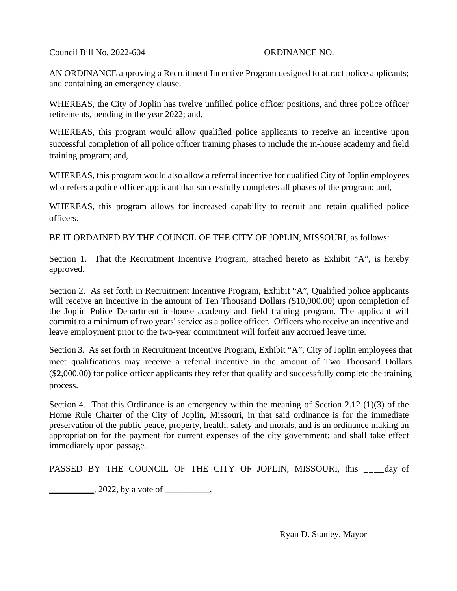Council Bill No. 2022-604 ORDINANCE NO.

AN ORDINANCE approving a Recruitment Incentive Program designed to attract police applicants; and containing an emergency clause.

WHEREAS, the City of Joplin has twelve unfilled police officer positions, and three police officer retirements, pending in the year 2022; and,

WHEREAS, this program would allow qualified police applicants to receive an incentive upon successful completion of all police officer training phases to include the in-house academy and field training program; and,

WHEREAS, this program would also allow a referral incentive for qualified City of Joplin employees who refers a police officer applicant that successfully completes all phases of the program; and,

WHEREAS, this program allows for increased capability to recruit and retain qualified police officers.

BE IT ORDAINED BY THE COUNCIL OF THE CITY OF JOPLIN, MISSOURI, as follows:

Section 1. That the Recruitment Incentive Program, attached hereto as Exhibit "A", is hereby approved.

Section 2. As set forth in Recruitment Incentive Program, Exhibit "A", Qualified police applicants will receive an incentive in the amount of Ten Thousand Dollars (\$10,000.00) upon completion of the Joplin Police Department in-house academy and field training program. The applicant will commit to a minimum of two years' service as a police officer. Officers who receive an incentive and leave employment prior to the two-year commitment will forfeit any accrued leave time.

Section 3. As set forth in Recruitment Incentive Program, Exhibit "A", City of Joplin employees that meet qualifications may receive a referral incentive in the amount of Two Thousand Dollars (\$2,000.00) for police officer applicants they refer that qualify and successfully complete the training process.

Section 4. That this Ordinance is an emergency within the meaning of Section 2.12 (1)(3) of the Home Rule Charter of the City of Joplin, Missouri, in that said ordinance is for the immediate preservation of the public peace, property, health, safety and morals, and is an ordinance making an appropriation for the payment for current expenses of the city government; and shall take effect immediately upon passage.

PASSED BY THE COUNCIL OF THE CITY OF JOPLIN, MISSOURI, this day of

 $2022$ , by a vote of  $\blacksquare$ 

Ryan D. Stanley, Mayor